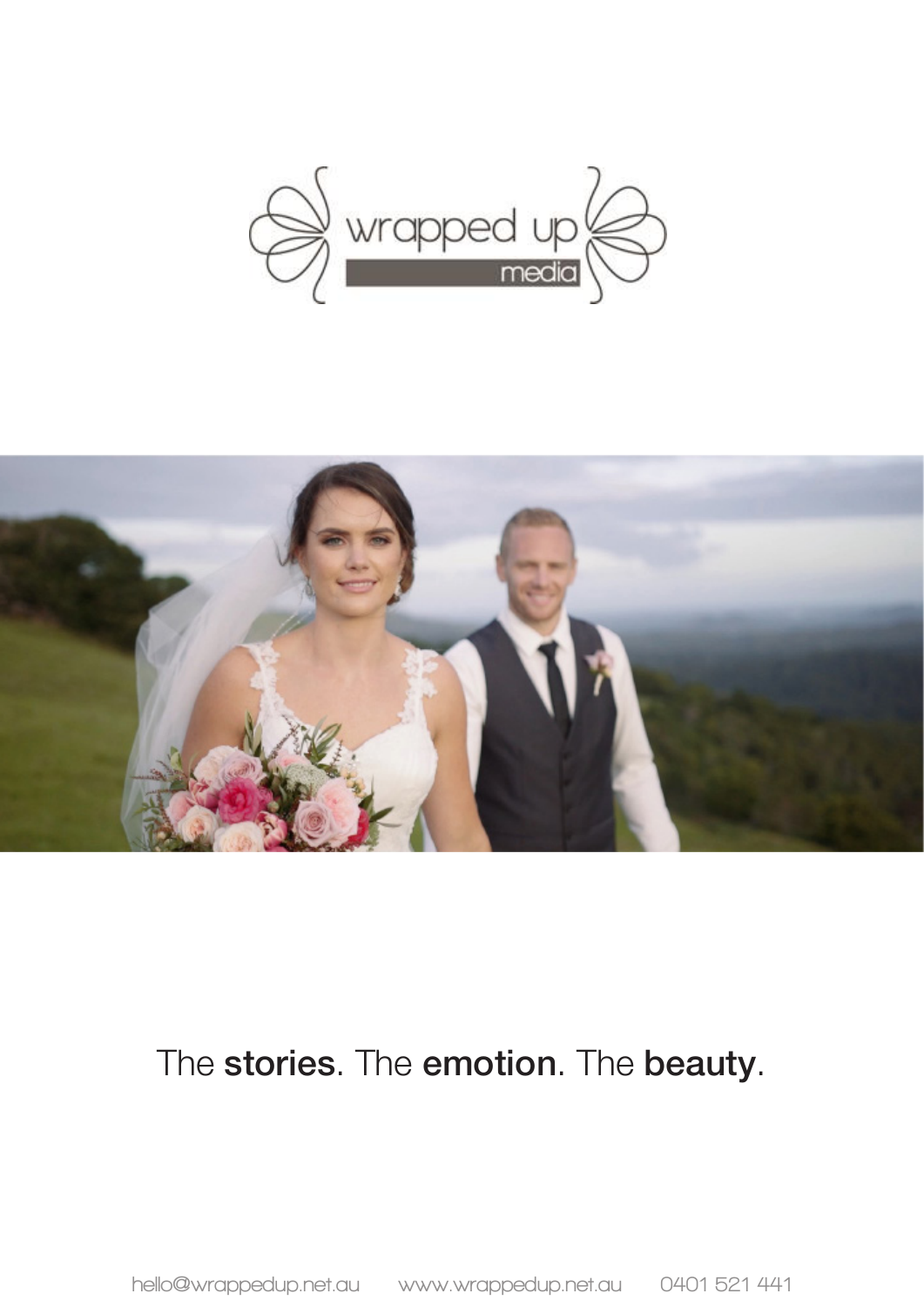



# The stories. The emotion. The beauty.

**hello@wrappedup.net.au www.wrappedup.net.au 0401 521 441**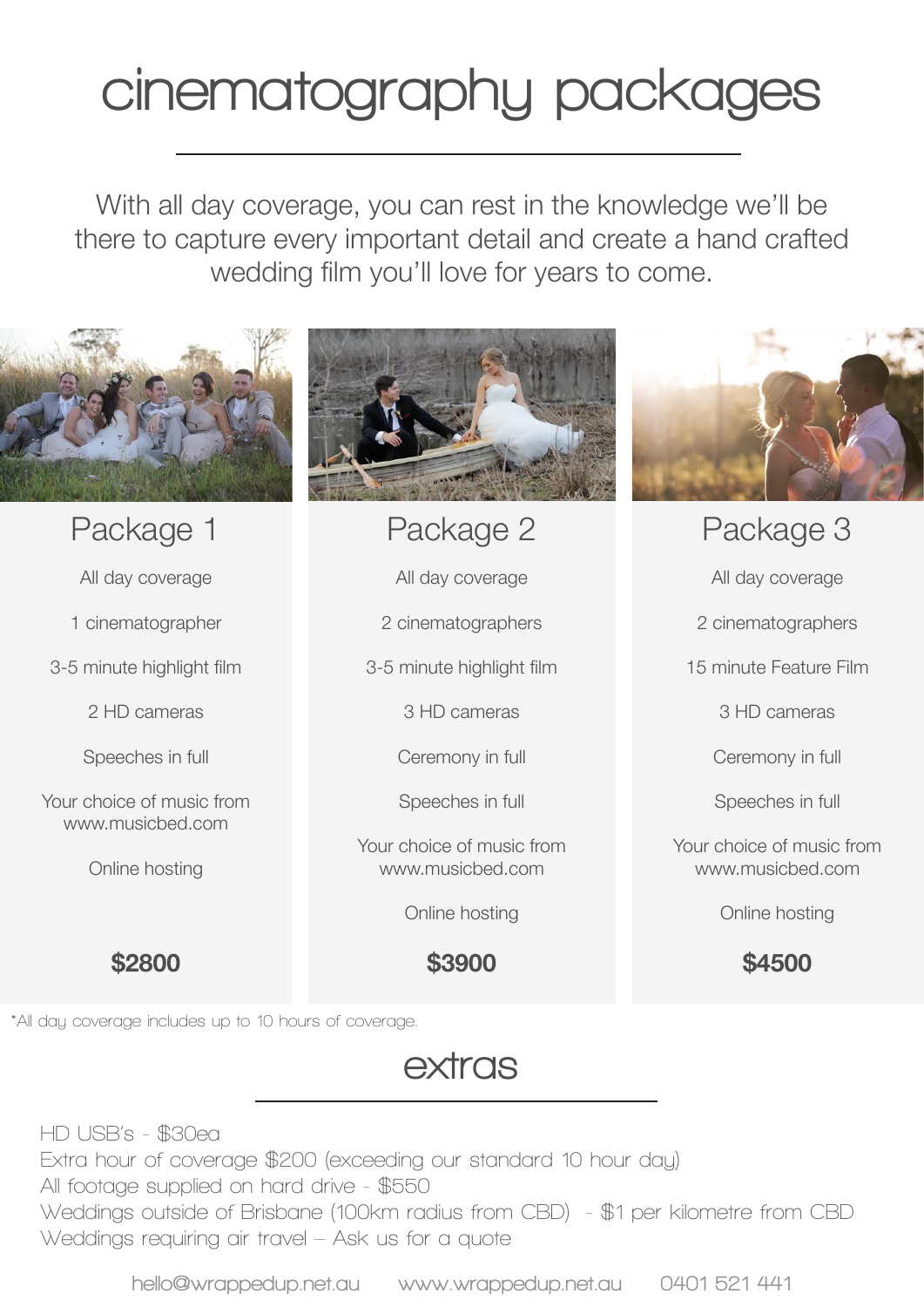# **cinematography packages**

With all day coverage, you can rest in the knowledge we'll be there to capture every important detail and create a hand crafted wedding film you'll love for years to come.



#### Package 1

All day coverage

1 cinematographer

3-5 minute highlight film

2 HD cameras

Speeches in full

Your choice of music from www.musicbed.com

Online hosting

**\$2800**

# Package 2

All day coverage

2 cinematographers

3-5 minute highlight film

3 HD cameras

Ceremony in full

Speeches in full

Your choice of music from www.musicbed.com

Online hosting

**\$3900**



Package 3

All day coverage

2 cinematographers

15 minute Feature Film

3 HD cameras

Ceremony in full

Speeches in full

Your choice of music from www.musicbed.com

Online hosting

**\$4500**

**\*All day coverage includes up to 10 hours of coverage.**

## **extras**

**HD USB's - \$30ea Extra hour of coverage \$200 (exceeding our standard 10 hour day) All footage supplied on hard drive - \$550 Weddings outside of Brisbane (100km radius from CBD) - \$1 per kilometre from CBD Weddings requiring air travel – Ask us for a quote**

**hello@wrappedup.net.au www.wrappedup.net.au 0401 521 441**